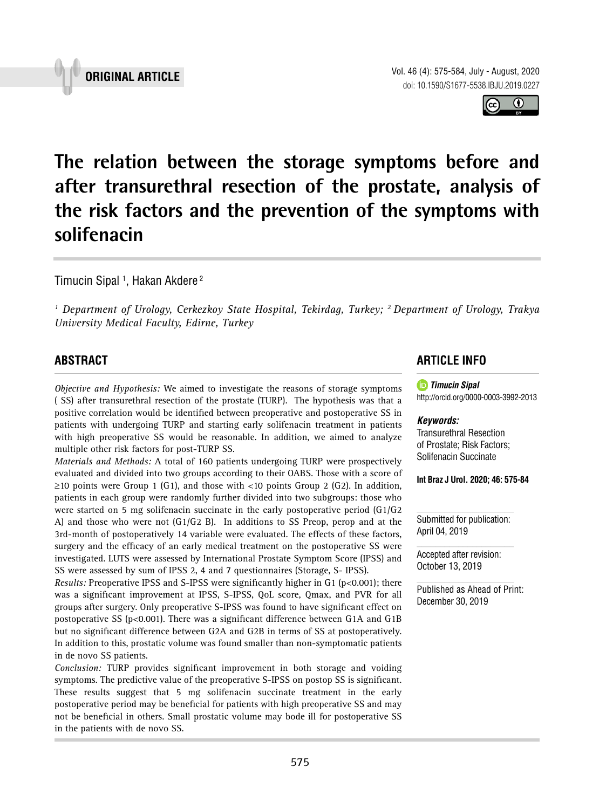

 $\bf 0$ 

**The relation between the storage symptoms before and after transurethral resection of the prostate, analysis of the risk factors and the prevention of the symptoms with solifenacin \_\_\_\_\_\_\_\_\_\_\_\_\_\_\_\_\_\_\_\_\_\_\_\_\_\_\_\_\_\_\_\_\_\_\_\_\_\_\_\_\_\_\_\_\_\_\_**

Timucin Sipal <sup>1</sup>, Hakan Akdere <sup>2</sup>

<sup>1</sup> Department of Urology, Cerkezkoy State Hospital, Tekirdag, Turkey; <sup>2</sup> Department of Urology, Trakya *University Medical Faculty, Edirne, Turkey*

# **ABSTRACT**

*Objective and Hypothesis:* We aimed to investigate the reasons of storage symptoms ( SS) after transurethral resection of the prostate (TURP). The hypothesis was that a positive correlation would be identified between preoperative and postoperative SS in patients with undergoing TURP and starting early solifenacin treatment in patients with high preoperative SS would be reasonable. In addition, we aimed to analyze multiple other risk factors for post-TURP SS.

*Materials and Methods:* A total of 160 patients undergoing TURP were prospectively evaluated and divided into two groups according to their OABS. Those with a score of  $\geq$ 10 points were Group 1 (G1), and those with <10 points Group 2 (G2). In addition, patients in each group were randomly further divided into two subgroups: those who were started on 5 mg solifenacin succinate in the early postoperative period (G1/G2 A) and those who were not (G1/G2 B). In additions to SS Preop, perop and at the 3rd-month of postoperatively 14 variable were evaluated. The effects of these factors, surgery and the efficacy of an early medical treatment on the postoperative SS were investigated. LUTS were assessed by International Prostate Symptom Score (IPSS) and SS were assessed by sum of IPSS 2, 4 and 7 questionnaires (Storage, S- IPSS).

*Results: Preoperative IPSS and S-IPSS were significantly higher in G1 (p<0.001); there* was a significant improvement at IPSS, S-IPSS, QoL score, Qmax, and PVR for all groups after surgery. Only preoperative S-IPSS was found to have significant effect on postoperative SS (p<0.001). There was a significant difference between G1A and G1B but no significant difference between G2A and G2B in terms of SS at postoperatively. In addition to this, prostatic volume was found smaller than non-symptomatic patients in de novo SS patients.

*Conclusion:* TURP provides significant improvement in both storage and voiding symptoms. The predictive value of the preoperative S-IPSS on postop SS is significant. These results suggest that 5 mg solifenacin succinate treatment in the early postoperative period may be beneficial for patients with high preoperative SS and may not be beneficial in others. Small prostatic volume may bode ill for postoperative SS in the patients with de novo SS.

# **ARTICLE INFO**

*Timucin Sipal*

http://orcid.org/0000-0003-3992-2013

## *Keywords:*

Transurethral Resection of Prostate; Risk Factors; Solifenacin Succinate

**Int Braz J Urol. 2020; 46: 575-84**

Submitted for publication: April 04, 2019

Accepted after revision: October 13, 2019

Published as Ahead of Print: December 30, 2019

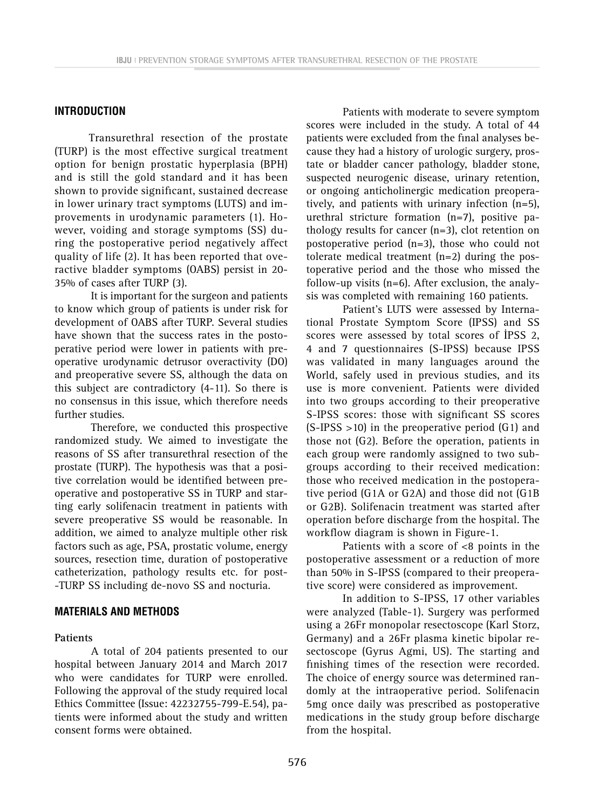### **INTRODUCTION**

Transurethral resection of the prostate (TURP) is the most effective surgical treatment option for benign prostatic hyperplasia (BPH) and is still the gold standard and it has been shown to provide significant, sustained decrease in lower urinary tract symptoms (LUTS) and improvements in urodynamic parameters (1). However, voiding and storage symptoms (SS) during the postoperative period negatively affect quality of life (2). It has been reported that overactive bladder symptoms (OABS) persist in 20- 35% of cases after TURP (3).

It is important for the surgeon and patients to know which group of patients is under risk for development of OABS after TURP. Several studies have shown that the success rates in the postoperative period were lower in patients with preoperative urodynamic detrusor overactivity (DO) and preoperative severe SS, although the data on this subject are contradictory (4-11). So there is no consensus in this issue, which therefore needs further studies.

Therefore, we conducted this prospective randomized study. We aimed to investigate the reasons of SS after transurethral resection of the prostate (TURP). The hypothesis was that a positive correlation would be identified between preoperative and postoperative SS in TURP and starting early solifenacin treatment in patients with severe preoperative SS would be reasonable. In addition, we aimed to analyze multiple other risk factors such as age, PSA, prostatic volume, energy sources, resection time, duration of postoperative catheterization, pathology results etc. for post- -TURP SS including de-novo SS and nocturia.

# **MATERIALS AND METHODS**

### **Patients**

A total of 204 patients presented to our hospital between January 2014 and March 2017 who were candidates for TURP were enrolled. Following the approval of the study required local Ethics Committee (Issue: 42232755-799-E.54), patients were informed about the study and written consent forms were obtained.

Patients with moderate to severe symptom scores were included in the study. A total of 44 patients were excluded from the final analyses because they had a history of urologic surgery, prostate or bladder cancer pathology, bladder stone, suspected neurogenic disease, urinary retention, or ongoing anticholinergic medication preoperatively, and patients with urinary infection (n=5), urethral stricture formation (n=7), positive pathology results for cancer (n=3), clot retention on postoperative period (n=3), those who could not tolerate medical treatment  $(n=2)$  during the postoperative period and the those who missed the follow-up visits  $(n=6)$ . After exclusion, the analysis was completed with remaining 160 patients.

Patient's LUTS were assessed by International Prostate Symptom Score (IPSS) and SS scores were assessed by total scores of İPSS 2, 4 and 7 questionnaires (S-IPSS) because IPSS was validated in many languages around the World, safely used in previous studies, and its use is more convenient. Patients were divided into two groups according to their preoperative S-IPSS scores: those with significant SS scores  $(S-IPSS > 10)$  in the preoperative period  $(G1)$  and those not (G2). Before the operation, patients in each group were randomly assigned to two subgroups according to their received medication: those who received medication in the postoperative period (G1A or G2A) and those did not (G1B or G2B). Solifenacin treatment was started after operation before discharge from the hospital. The workflow diagram is shown in Figure-1.

Patients with a score of <8 points in the postoperative assessment or a reduction of more than 50% in S-IPSS (compared to their preoperative score) were considered as improvement.

In addition to S-IPSS, 17 other variables were analyzed (Table-1). Surgery was performed using a 26Fr monopolar resectoscope (Karl Storz, Germany) and a 26Fr plasma kinetic bipolar resectoscope (Gyrus Agmi, US). The starting and finishing times of the resection were recorded. The choice of energy source was determined randomly at the intraoperative period. Solifenacin 5mg once daily was prescribed as postoperative medications in the study group before discharge from the hospital.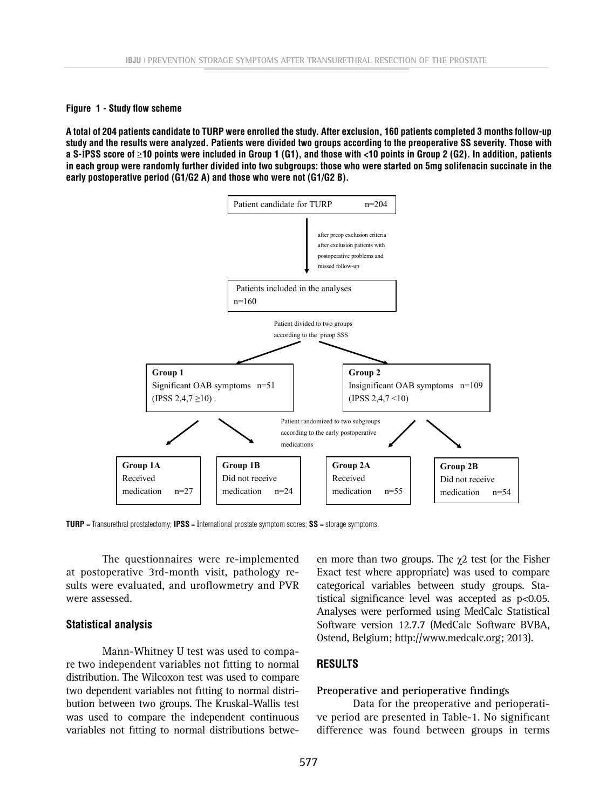**Figure 1 - Study flow scheme**

 $\frac{1}{2}$  of the contract the set of the mention in the contract the state with  $\frac{1}{2}$  being in those  $\frac{1}{2}$  (u2). In addition, patients in each group were randomly further divided into two subgroups: those who were early postoperative period (G1/G2 A) and those who were not (G1/G2 B). **A total of 204 patients candidate to TURP were enrolled the study. After exclusion, 160 patients completed 3 months follow-up study and the results were analyzed. Patients were divided two groups according to the preoperative SS severity. Those with a S-**İ**PSS score of** ≥**10 points were included in Group 1 (G1), and those with <10 points in Group 2 (G2). In addition, patients** 



**TURP** = Transurethral prostatectomy; **IPSS** = İnternational prostate symptom scores; **SS** = storage symptoms.

The questionnaires were re-implemented at postoperative 3rd-month visit, pathology results were evaluated, and uroflowmetry and PVR were assessed.

#### **Statistical analysis**

Mann-Whitney U test was used to compare two independent variables not fitting to normal distribution. The Wilcoxon test was used to compare two dependent variables not fitting to normal distribution between two groups. The Kruskal-Wallis test was used to compare the independent continuous variables not fitting to normal distributions betwe-

en more than two groups. The  $\chi$ 2 test (or the Fisher Exact test where appropriate) was used to compare categorical variables between study groups. Statistical significance level was accepted as p<0.05. Analyses were performed using MedCalc Statistical Software version 12.7.7 (MedCalc Software BVBA, Ostend, Belgium; http://www.medcalc.org; 2013).

## **RESULTS**

#### **Preoperative and perioperative findings**

Data for the preoperative and perioperative period are presented in Table-1. No significant difference was found between groups in terms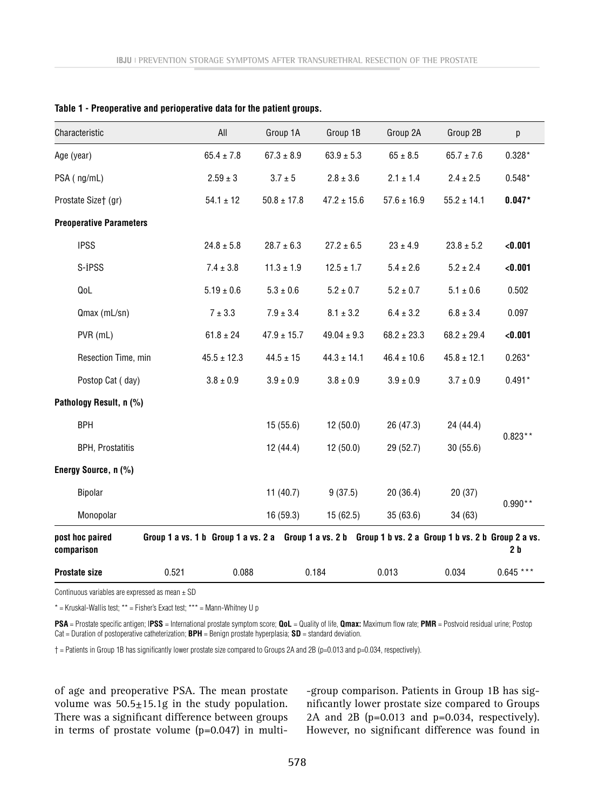| Characteristic                 |                     | All            | Group 1A        | Group 1B        | Group 2A                                                                                                | Group 2B        | р              |
|--------------------------------|---------------------|----------------|-----------------|-----------------|---------------------------------------------------------------------------------------------------------|-----------------|----------------|
| Age (year)                     |                     | $65.4 \pm 7.8$ | $67.3 \pm 8.9$  | $63.9 \pm 5.3$  | $65 \pm 8.5$                                                                                            | $65.7 \pm 7.6$  | $0.328*$       |
| PSA (ng/mL)                    |                     | $2.59 \pm 3$   | $3.7 \pm 5$     | $2.8 \pm 3.6$   | $2.1 \pm 1.4$                                                                                           | $2.4 \pm 2.5$   | $0.548*$       |
| Prostate Size† (gr)            |                     | $54.1 \pm 12$  | $50.8 \pm 17.8$ | $47.2 \pm 15.6$ | $57.6 \pm 16.9$                                                                                         | $55.2 \pm 14.1$ | $0.047*$       |
| <b>Preoperative Parameters</b> |                     |                |                 |                 |                                                                                                         |                 |                |
| <b>IPSS</b>                    |                     | $24.8 \pm 5.8$ | $28.7 \pm 6.3$  | $27.2 \pm 6.5$  | $23 \pm 4.9$                                                                                            | $23.8 \pm 5.2$  | < 0.001        |
| S-İPSS                         |                     | $7.4 \pm 3.8$  | $11.3 \pm 1.9$  | $12.5 \pm 1.7$  | $5.4 \pm 2.6$                                                                                           | $5.2 \pm 2.4$   | < 0.001        |
| QoL                            |                     | $5.19 \pm 0.6$ | $5.3 \pm 0.6$   | $5.2 \pm 0.7$   | $5.2 \pm 0.7$                                                                                           | $5.1 \pm 0.6$   | 0.502          |
| Qmax (mL/sn)                   |                     | $7 \pm 3.3$    | $7.9 \pm 3.4$   | $8.1 \pm 3.2$   | $6.4 \pm 3.2$                                                                                           | $6.8 \pm 3.4$   | 0.097          |
| PVR (mL)                       | Resection Time, min |                | $47.9 \pm 15.7$ | $49.04 \pm 9.3$ | $68.2 \pm 23.3$                                                                                         | $68.2 \pm 29.4$ | < 0.001        |
|                                |                     |                | $44.5 \pm 15$   | $44.3 \pm 14.1$ | $46.4 \pm 10.6$                                                                                         | $45.8 \pm 12.1$ | $0.263*$       |
| Postop Cat (day)               |                     | $3.8 \pm 0.9$  | $3.9 \pm 0.9$   | $3.8 \pm 0.9$   | $3.9 \pm 0.9$                                                                                           | $3.7 \pm 0.9$   | $0.491*$       |
| Pathology Result, n (%)        |                     |                |                 |                 |                                                                                                         |                 |                |
| <b>BPH</b>                     |                     |                | 15(55.6)        | 12(50.0)        | 26 (47.3)                                                                                               | 24 (44.4)       | $0.823**$      |
| <b>BPH, Prostatitis</b>        |                     |                | 12(44.4)        | 12(50.0)        | 29 (52.7)                                                                                               | 30(55.6)        |                |
| Energy Source, n (%)           |                     |                |                 |                 |                                                                                                         |                 |                |
| Bipolar                        |                     |                | 11 $(40.7)$     | 9(37.5)         | 20(36.4)                                                                                                | 20(37)          | $0.990**$      |
| Monopolar                      |                     |                | 16 (59.3)       | 15(62.5)        | 35 (63.6)                                                                                               | 34 (63)         |                |
| post hoc paired<br>comparison  |                     |                |                 |                 | Group 1 a vs. 1 b Group 1 a vs. 2 a Group 1 a vs. 2 b Group 1 b vs. 2 a Group 1 b vs. 2 b Group 2 a vs. |                 | 2 <sub>b</sub> |
| <b>Prostate size</b>           | 0.521               | 0.088          |                 | 0.184           | 0.013                                                                                                   | 0.034           | $0.645***$     |

|  |  | Table 1 - Preoperative and perioperative data for the patient groups. |  |  |
|--|--|-----------------------------------------------------------------------|--|--|
|--|--|-----------------------------------------------------------------------|--|--|

Continuous variables are expressed as mean  $\pm$  SD

 $*$  = Kruskal-Wallis test;  $**$  = Fisher's Exact test;  $***$  = Mann-Whitney U p

**PSA** = Prostate specific antigen; I**PSS** = International prostate symptom score; **QoL** = Quality of life, **Qmax:** Maximum flow rate; **PMR** = Postvoid residual urine; Postop Cat = Duration of postoperative catheterization; **BPH** = Benign prostate hyperplasia; **SD** = standard deviation.

† = Patients in Group 1B has significantly lower prostate size compared to Groups 2A and 2B (p=0.013 and p=0.034, respectively).

of age and preoperative PSA. The mean prostate volume was  $50.5 \pm 15.1$ g in the study population. There was a significant difference between groups in terms of prostate volume  $(p=0.047)$  in multi-group comparison. Patients in Group 1B has significantly lower prostate size compared to Groups 2A and 2B (p=0.013 and p=0.034, respectively). However, no significant difference was found in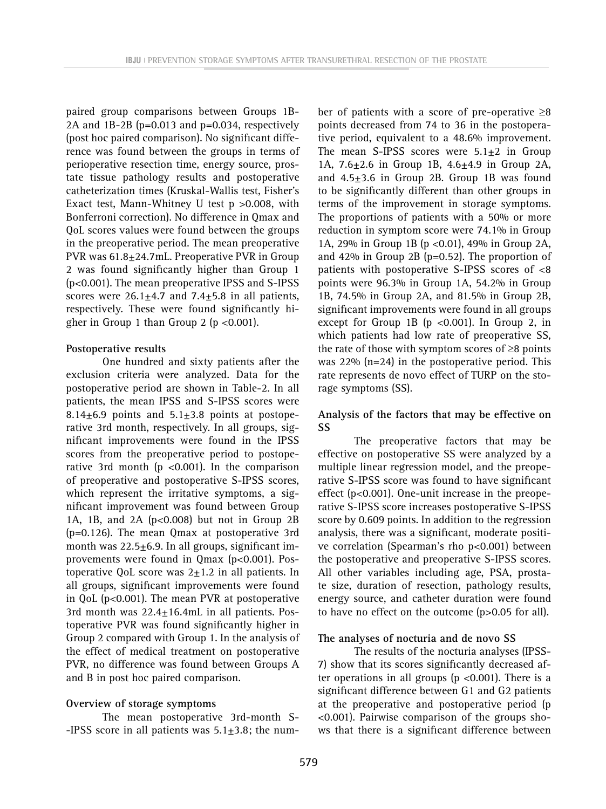paired group comparisons between Groups 1B-2A and  $1B-2B$  ( $p=0.013$  and  $p=0.034$ , respectively (post hoc paired comparison). No significant difference was found between the groups in terms of perioperative resection time, energy source, prostate tissue pathology results and postoperative catheterization times (Kruskal-Wallis test, Fisher's Exact test, Mann-Whitney U test p >0.008, with Bonferroni correction). No difference in Qmax and QoL scores values were found between the groups in the preoperative period. The mean preoperative PVR was 61.8±24.7mL. Preoperative PVR in Group 2 was found significantly higher than Group 1 (p<0.001). The mean preoperative IPSS and S-IPSS scores were  $26.1 \pm 4.7$  and  $7.4 \pm 5.8$  in all patients, respectively. These were found significantly higher in Group 1 than Group 2 ( $p < 0.001$ ).

#### **Postoperative results**

One hundred and sixty patients after the exclusion criteria were analyzed. Data for the postoperative period are shown in Table-2. In all patients, the mean IPSS and S-IPSS scores were 8.14 $\pm$ 6.9 points and 5.1 $\pm$ 3.8 points at postoperative 3rd month, respectively. In all groups, significant improvements were found in the IPSS scores from the preoperative period to postoperative 3rd month ( $p$  <0.001). In the comparison of preoperative and postoperative S-IPSS scores, which represent the irritative symptoms, a significant improvement was found between Group 1A, 1B, and 2A ( $p < 0.008$ ) but not in Group 2B (p=0.126). The mean Qmax at postoperative 3rd month was  $22.5 \pm 6.9$ . In all groups, significant improvements were found in Qmax (p<0.001). Postoperative QoL score was  $2\pm 1.2$  in all patients. In all groups, significant improvements were found in QoL (p<0.001). The mean PVR at postoperative 3rd month was  $22.4 \pm 16.4$ mL in all patients. Postoperative PVR was found significantly higher in Group 2 compared with Group 1. In the analysis of the effect of medical treatment on postoperative PVR, no difference was found between Groups A and B in post hoc paired comparison.

#### **Overview of storage symptoms**

The mean postoperative 3rd-month S- -IPSS score in all patients was  $5.1 \pm 3.8$ ; the number of patients with a score of pre-operative  $\geq 8$ points decreased from 74 to 36 in the postoperative period, equivalent to a 48.6% improvement. The mean S-IPSS scores were  $5.1\pm 2$  in Group 1A,  $7.6 \pm 2.6$  in Group 1B,  $4.6 \pm 4.9$  in Group 2A, and  $4.5\pm3.6$  in Group 2B. Group 1B was found to be significantly different than other groups in terms of the improvement in storage symptoms. The proportions of patients with a 50% or more reduction in symptom score were 74.1% in Group 1A, 29% in Group 1B (p <0.01), 49% in Group 2A, and 42% in Group 2B (p=0.52). The proportion of patients with postoperative S-IPSS scores of <8 points were 96.3% in Group 1A, 54.2% in Group 1B, 74.5% in Group 2A, and 81.5% in Group 2B, significant improvements were found in all groups except for Group 1B ( $p$  <0.001). In Group 2, in which patients had low rate of preoperative SS, the rate of those with symptom scores of ≥8 points was  $22\%$  (n=24) in the postoperative period. This rate represents de novo effect of TURP on the storage symptoms (SS).

### **Analysis of the factors that may be effective on SS**

The preoperative factors that may be effective on postoperative SS were analyzed by a multiple linear regression model, and the preoperative S-IPSS score was found to have significant effect (p<0.001). One-unit increase in the preoperative S-IPSS score increases postoperative S-IPSS score by 0.609 points. In addition to the regression analysis, there was a significant, moderate positive correlation (Spearman's rho p<0.001) between the postoperative and preoperative S-IPSS scores. All other variables including age, PSA, prostate size, duration of resection, pathology results, energy source, and catheter duration were found to have no effect on the outcome (p>0.05 for all).

#### **The analyses of nocturia and de novo SS**

The results of the nocturia analyses (IPSS-7) show that its scores significantly decreased after operations in all groups ( $p < 0.001$ ). There is a significant difference between G1 and G2 patients at the preoperative and postoperative period (p <0.001). Pairwise comparison of the groups shows that there is a significant difference between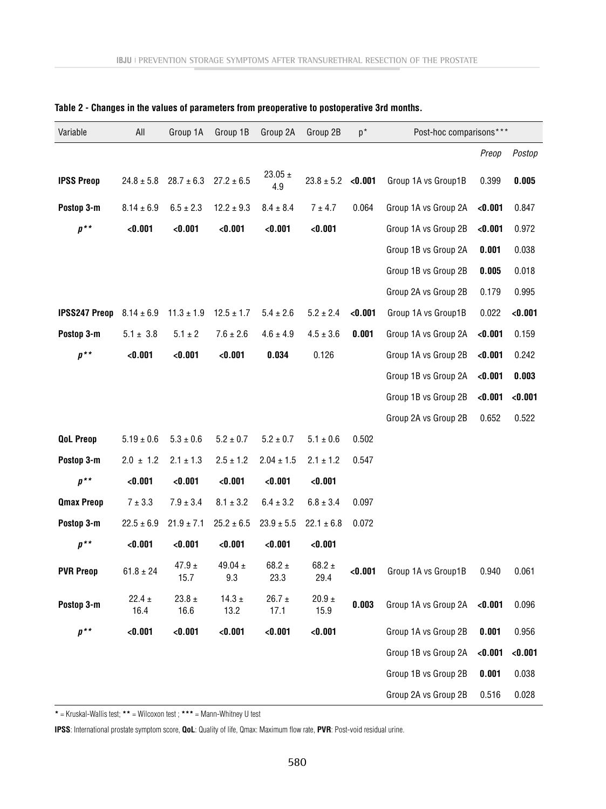| Variable             | All                | Group 1A           | Group 1B           | Group 2A           | Group 2B           | $p^*$   | Post-hoc comparisons*** |         |         |
|----------------------|--------------------|--------------------|--------------------|--------------------|--------------------|---------|-------------------------|---------|---------|
|                      |                    |                    |                    |                    |                    |         |                         | Preop   | Postop  |
| <b>IPSS Preop</b>    | $24.8 \pm 5.8$     | $28.7 \pm 6.3$     | $27.2 \pm 6.5$     | $23.05 \pm$<br>4.9 | $23.8 \pm 5.2$     | < 0.001 | Group 1A vs Group1B     | 0.399   | 0.005   |
| Postop 3-m           | $8.14 \pm 6.9$     | $6.5 \pm 2.3$      | $12.2 \pm 9.3$     | $8.4 \pm 8.4$      | $7 \pm 4.7$        | 0.064   | Group 1A vs Group 2A    | < 0.001 | 0.847   |
| $p^{\ast}$           | < 0.001            | < 0.001            | < 0.001            | < 0.001            | < 0.001            |         | Group 1A vs Group 2B    | < 0.001 | 0.972   |
|                      |                    |                    |                    |                    |                    |         | Group 1B vs Group 2A    | 0.001   | 0.038   |
|                      |                    |                    |                    |                    |                    |         | Group 1B vs Group 2B    | 0.005   | 0.018   |
|                      |                    |                    |                    |                    |                    |         | Group 2A vs Group 2B    | 0.179   | 0.995   |
| <b>IPSS247 Preop</b> | $8.14 \pm 6.9$     | $11.3 \pm 1.9$     | $12.5 \pm 1.7$     | $5.4 \pm 2.6$      | $5.2 \pm 2.4$      | < 0.001 | Group 1A vs Group1B     | 0.022   | < 0.001 |
| Postop 3-m           | $5.1 \pm 3.8$      | $5.1 \pm 2$        | $7.6 \pm 2.6$      | $4.6 \pm 4.9$      | $4.5 \pm 3.6$      | 0.001   | Group 1A vs Group 2A    | < 0.001 | 0.159   |
| $p^{\star\star}$     | < 0.001            | < 0.001            | < 0.001            | 0.034              | 0.126              |         | Group 1A vs Group 2B    | < 0.001 | 0.242   |
|                      |                    |                    |                    |                    |                    |         | Group 1B vs Group 2A    | < 0.001 | 0.003   |
|                      |                    |                    |                    |                    |                    |         | Group 1B vs Group 2B    | < 0.001 | < 0.001 |
|                      |                    |                    |                    |                    |                    |         | Group 2A vs Group 2B    | 0.652   | 0.522   |
| <b>QoL Preop</b>     | $5.19 \pm 0.6$     | $5.3 \pm 0.6$      | $5.2 \pm 0.7$      | $5.2 \pm 0.7$      | $5.1 \pm 0.6$      | 0.502   |                         |         |         |
| Postop 3-m           | $2.0 \pm 1.2$      | $2.1 \pm 1.3$      | $2.5 \pm 1.2$      | $2.04 \pm 1.5$     | $2.1 \pm 1.2$      | 0.547   |                         |         |         |
| $p^{\star\star}$     | < 0.001            | < 0.001            | < 0.001            | < 0.001            | < 0.001            |         |                         |         |         |
| <b>Qmax Preop</b>    | $7 \pm 3.3$        | $7.9 \pm 3.4$      | $8.1 \pm 3.2$      | $6.4 \pm 3.2$      | $6.8 \pm 3.4$      | 0.097   |                         |         |         |
| Postop 3-m           | $22.5 \pm 6.9$     | $21.9 \pm 7.1$     | $25.2 \pm 6.5$     | $23.9 \pm 5.5$     | $22.1 \pm 6.8$     | 0.072   |                         |         |         |
| $p^{\,\star\,\star}$ | < 0.001            | < 0.001            | < 0.001            | < 0.001            | < 0.001            |         |                         |         |         |
| <b>PVR Preop</b>     | $61.8 \pm 24$      | 47.9 $\pm$<br>15.7 | 49.04 $\pm$<br>9.3 | 68.2 $\pm$<br>23.3 | $68.2 \pm$<br>29.4 | < 0.001 | Group 1A vs Group1B     | 0.940   | 0.061   |
| Postop 3-m           | $22.4 \pm$<br>16.4 | 23.8 $\pm$<br>16.6 | 14.3 $\pm$<br>13.2 | $26.7 \pm$<br>17.1 | 20.9 $\pm$<br>15.9 | 0.003   | Group 1A vs Group 2A    | < 0.001 | 0.096   |
| $p^{\,\star\,\star}$ | < 0.001            | < 0.001            | < 0.001            | < 0.001            | < 0.001            |         | Group 1A vs Group 2B    | 0.001   | 0.956   |
|                      |                    |                    |                    |                    |                    |         | Group 1B vs Group 2A    | < 0.001 | < 0.001 |
|                      |                    |                    |                    |                    |                    |         | Group 1B vs Group 2B    | 0.001   | 0.038   |
|                      |                    |                    |                    |                    |                    |         | Group 2A vs Group 2B    | 0.516   | 0.028   |

|  |  |  |  |  |  |  |  |  |  |  | Table 2 - Changes in the values of parameters from preoperative to postoperative 3rd months. |  |  |  |  |  |  |  |  |
|--|--|--|--|--|--|--|--|--|--|--|----------------------------------------------------------------------------------------------|--|--|--|--|--|--|--|--|
|--|--|--|--|--|--|--|--|--|--|--|----------------------------------------------------------------------------------------------|--|--|--|--|--|--|--|--|

**\*** = Kruskal-Wallis test; **\*\*** = Wilcoxon test ; **\*\*\*** = Mann-Whitney U test

**IPSS**: International prostate symptom score, **QoL**: Quality of life, Qmax: Maximum flow rate, **PVR**: Post-void residual urine.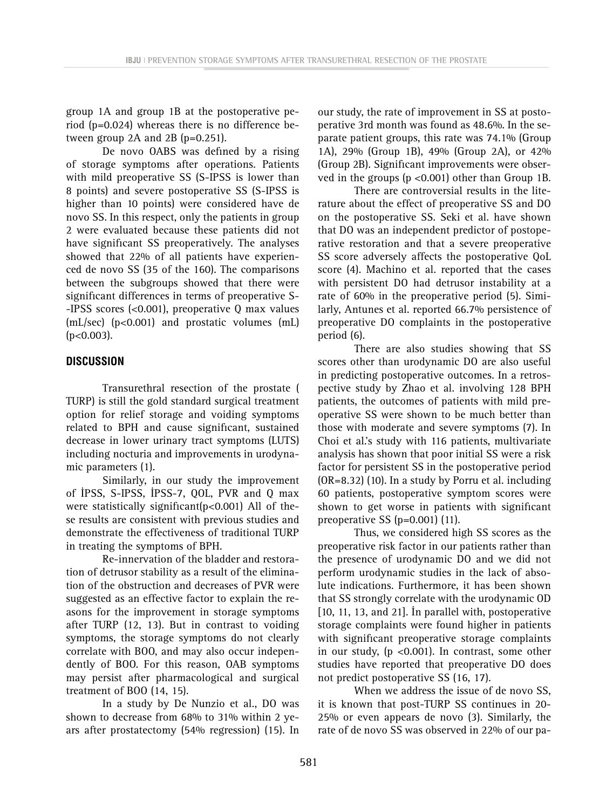group 1A and group 1B at the postoperative period (p=0.024) whereas there is no difference between group  $2A$  and  $2B$  (p=0.251).

De novo OABS was defined by a rising of storage symptoms after operations. Patients with mild preoperative SS (S-IPSS is lower than 8 points) and severe postoperative SS (S-IPSS is higher than 10 points) were considered have de novo SS. In this respect, only the patients in group 2 were evaluated because these patients did not have significant SS preoperatively. The analyses showed that 22% of all patients have experienced de novo SS (35 of the 160). The comparisons between the subgroups showed that there were significant differences in terms of preoperative S- -IPSS scores (<0.001), preoperative Q max values (mL/sec) (p<0.001) and prostatic volumes (mL)  $(p<0.003)$ .

# **DISCUSSION**

Transurethral resection of the prostate ( TURP) is still the gold standard surgical treatment option for relief storage and voiding symptoms related to BPH and cause significant, sustained decrease in lower urinary tract symptoms (LUTS) including nocturia and improvements in urodynamic parameters (1).

Similarly, in our study the improvement of İPSS, S-IPSS, İPSS-7, QOL, PVR and Q max were statistically significant(p<0.001) All of these results are consistent with previous studies and demonstrate the effectiveness of traditional TURP in treating the symptoms of BPH.

Re-innervation of the bladder and restoration of detrusor stability as a result of the elimination of the obstruction and decreases of PVR were suggested as an effective factor to explain the reasons for the improvement in storage symptoms after TURP (12, 13). But in contrast to voiding symptoms, the storage symptoms do not clearly correlate with BOO, and may also occur independently of BOO. For this reason, OAB symptoms may persist after pharmacological and surgical treatment of BOO (14, 15).

In a study by De Nunzio et al., DO was shown to decrease from 68% to 31% within 2 years after prostatectomy (54% regression) (15). In

our study, the rate of improvement in SS at postoperative 3rd month was found as 48.6%. In the separate patient groups, this rate was 74.1% (Group 1A), 29% (Group 1B), 49% (Group 2A), or 42% (Group 2B). Significant improvements were observed in the groups (p <0.001) other than Group 1B.

There are controversial results in the literature about the effect of preoperative SS and DO on the postoperative SS. Seki et al. have shown that DO was an independent predictor of postoperative restoration and that a severe preoperative SS score adversely affects the postoperative QoL score (4). Machino et al. reported that the cases with persistent DO had detrusor instability at a rate of 60% in the preoperative period (5). Similarly, Antunes et al. reported 66.7% persistence of preoperative DO complaints in the postoperative period (6).

There are also studies showing that SS scores other than urodynamic DO are also useful in predicting postoperative outcomes. In a retrospective study by Zhao et al. involving 128 BPH patients, the outcomes of patients with mild preoperative SS were shown to be much better than those with moderate and severe symptoms (7). In Choi et al.'s study with 116 patients, multivariate analysis has shown that poor initial SS were a risk factor for persistent SS in the postoperative period (OR=8.32) (10). In a study by Porru et al. including 60 patients, postoperative symptom scores were shown to get worse in patients with significant preoperative SS (p=0.001) (11).

Thus, we considered high SS scores as the preoperative risk factor in our patients rather than the presence of urodynamic DO and we did not perform urodynamic studies in the lack of absolute indications. Furthermore, it has been shown that SS strongly correlate with the urodynamic OD [10, 11, 13, and 21]. İn parallel with, postoperative storage complaints were found higher in patients with significant preoperative storage complaints in our study,  $(p \text{ <0.001})$ . In contrast, some other studies have reported that preoperative DO does not predict postoperative SS (16, 17).

When we address the issue of de novo SS, it is known that post-TURP SS continues in 20- 25% or even appears de novo (3). Similarly, the rate of de novo SS was observed in 22% of our pa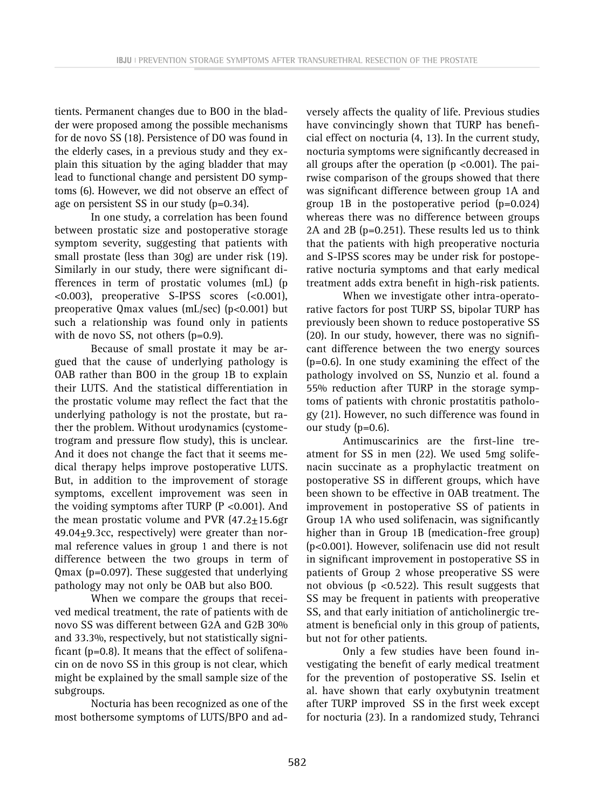tients. Permanent changes due to BOO in the bladder were proposed among the possible mechanisms for de novo SS (18). Persistence of DO was found in the elderly cases, in a previous study and they explain this situation by the aging bladder that may lead to functional change and persistent DO symptoms (6). However, we did not observe an effect of age on persistent SS in our study (p=0.34).

In one study, a correlation has been found between prostatic size and postoperative storage symptom severity, suggesting that patients with small prostate (less than 30g) are under risk (19). Similarly in our study, there were significant differences in term of prostatic volumes (mL) (p <0.003), preoperative S-IPSS scores (<0.001), preoperative Qmax values (mL/sec) (p<0.001) but such a relationship was found only in patients with de novo SS, not others (p=0.9).

Because of small prostate it may be argued that the cause of underlying pathology is OAB rather than BOO in the group 1B to explain their LUTS. And the statistical differentiation in the prostatic volume may reflect the fact that the underlying pathology is not the prostate, but rather the problem. Without urodynamics (cystometrogram and pressure flow study), this is unclear. And it does not change the fact that it seems medical therapy helps improve postoperative LUTS. But, in addition to the improvement of storage symptoms, excellent improvement was seen in the voiding symptoms after TURP (P <0.001). And the mean prostatic volume and PVR  $(47.2 \pm 15.6$ gr 49.04±9.3cc, respectively) were greater than normal reference values in group 1 and there is not difference between the two groups in term of Qmax (p=0.097). These suggested that underlying pathology may not only be OAB but also BOO.

When we compare the groups that received medical treatment, the rate of patients with de novo SS was different between G2A and G2B 30% and 33.3%, respectively, but not statistically significant (p=0.8). It means that the effect of solifenacin on de novo SS in this group is not clear, which might be explained by the small sample size of the subgroups.

Nocturia has been recognized as one of the most bothersome symptoms of LUTS/BPO and adversely affects the quality of life. Previous studies have convincingly shown that TURP has beneficial effect on nocturia (4, 13). In the current study, nocturia symptoms were significantly decreased in all groups after the operation ( $p < 0.001$ ). The pairwise comparison of the groups showed that there was significant difference between group 1A and group 1B in the postoperative period (p=0.024) whereas there was no difference between groups 2A and 2B (p=0.251). These results led us to think that the patients with high preoperative nocturia and S-IPSS scores may be under risk for postoperative nocturia symptoms and that early medical treatment adds extra benefit in high-risk patients.

When we investigate other intra-operatorative factors for post TURP SS, bipolar TURP has previously been shown to reduce postoperative SS (20). In our study, however, there was no significant difference between the two energy sources (p=0.6). In one study examining the effect of the pathology involved on SS, Nunzio et al. found a 55% reduction after TURP in the storage symptoms of patients with chronic prostatitis pathology (21). However, no such difference was found in our study (p=0.6).

Antimuscarinics are the first-line treatment for SS in men (22). We used 5mg solifenacin succinate as a prophylactic treatment on postoperative SS in different groups, which have been shown to be effective in OAB treatment. The improvement in postoperative SS of patients in Group 1A who used solifenacin, was significantly higher than in Group 1B (medication-free group) (p<0.001). However, solifenacin use did not result in significant improvement in postoperative SS in patients of Group 2 whose preoperative SS were not obvious ( $p \le 0.522$ ). This result suggests that SS may be frequent in patients with preoperative SS, and that early initiation of anticholinergic treatment is beneficial only in this group of patients, but not for other patients.

Only a few studies have been found investigating the benefit of early medical treatment for the prevention of postoperative SS. Iselin et al. have shown that early oxybutynin treatment after TURP improved SS in the first week except for nocturia (23). In a randomized study, Tehranci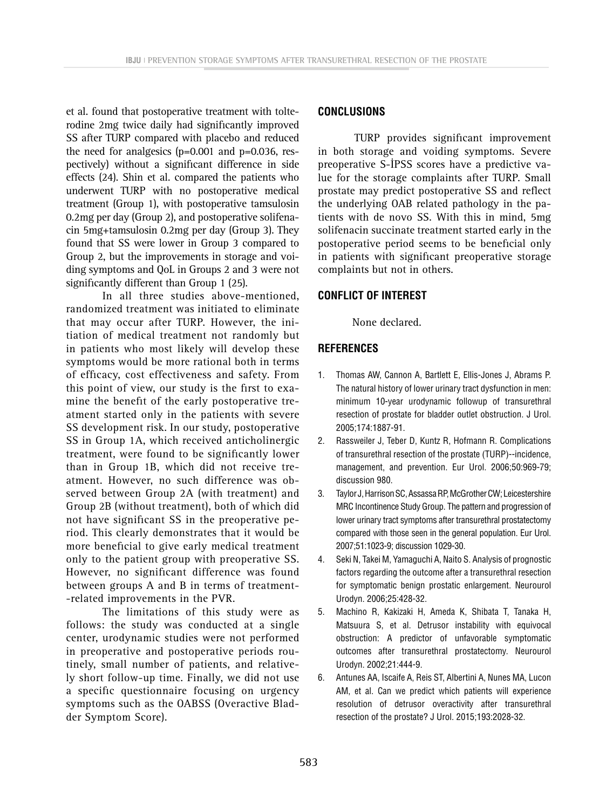et al. found that postoperative treatment with tolterodine 2mg twice daily had significantly improved SS after TURP compared with placebo and reduced the need for analgesics  $(p=0.001$  and  $p=0.036$ , respectively) without a significant difference in side effects (24). Shin et al. compared the patients who underwent TURP with no postoperative medical treatment (Group 1), with postoperative tamsulosin 0.2mg per day (Group 2), and postoperative solifenacin 5mg+tamsulosin 0.2mg per day (Group 3). They found that SS were lower in Group 3 compared to Group 2, but the improvements in storage and voiding symptoms and QoL in Groups 2 and 3 were not significantly different than Group 1 (25).

In all three studies above-mentioned, randomized treatment was initiated to eliminate that may occur after TURP. However, the initiation of medical treatment not randomly but in patients who most likely will develop these symptoms would be more rational both in terms of efficacy, cost effectiveness and safety. From this point of view, our study is the first to examine the benefit of the early postoperative treatment started only in the patients with severe SS development risk. In our study, postoperative SS in Group 1A, which received anticholinergic treatment, were found to be significantly lower than in Group 1B, which did not receive treatment. However, no such difference was observed between Group 2A (with treatment) and Group 2B (without treatment), both of which did not have significant SS in the preoperative period. This clearly demonstrates that it would be more beneficial to give early medical treatment only to the patient group with preoperative SS. However, no significant difference was found between groups A and B in terms of treatment- -related improvements in the PVR.

The limitations of this study were as follows: the study was conducted at a single center, urodynamic studies were not performed in preoperative and postoperative periods routinely, small number of patients, and relatively short follow-up time. Finally, we did not use a specific questionnaire focusing on urgency symptoms such as the OABSS (Overactive Bladder Symptom Score).

## **CONCLUSIONS**

TURP provides significant improvement in both storage and voiding symptoms. Severe preoperative S-İPSS scores have a predictive value for the storage complaints after TURP. Small prostate may predict postoperative SS and reflect the underlying OAB related pathology in the patients with de novo SS. With this in mind, 5mg solifenacin succinate treatment started early in the postoperative period seems to be beneficial only in patients with significant preoperative storage complaints but not in others.

### **CONFLICT OF INTEREST**

None declared.

## **REFERENCES**

- 1. Thomas AW, Cannon A, Bartlett E, Ellis-Jones J, Abrams P. The natural history of lower urinary tract dysfunction in men: minimum 10-year urodynamic followup of transurethral resection of prostate for bladder outlet obstruction. J Urol. 2005;174:1887-91.
- 2. Rassweiler J, Teber D, Kuntz R, Hofmann R. Complications of transurethral resection of the prostate (TURP)--incidence, management, and prevention. Eur Urol. 2006;50:969-79; discussion 980.
- 3. Taylor J, Harrison SC, Assassa RP, McGrother CW; Leicestershire MRC Incontinence Study Group. The pattern and progression of lower urinary tract symptoms after transurethral prostatectomy compared with those seen in the general population. Eur Urol. 2007;51:1023-9; discussion 1029-30.
- 4. Seki N, Takei M, Yamaguchi A, Naito S. Analysis of prognostic factors regarding the outcome after a transurethral resection for symptomatic benign prostatic enlargement. Neurourol Urodyn. 2006;25:428-32.
- 5. Machino R, Kakizaki H, Ameda K, Shibata T, Tanaka H, Matsuura S, et al. Detrusor instability with equivocal obstruction: A predictor of unfavorable symptomatic outcomes after transurethral prostatectomy. Neurourol Urodyn. 2002;21:444-9.
- 6. Antunes AA, Iscaife A, Reis ST, Albertini A, Nunes MA, Lucon AM, et al. Can we predict which patients will experience resolution of detrusor overactivity after transurethral resection of the prostate? J Urol. 2015;193:2028-32.